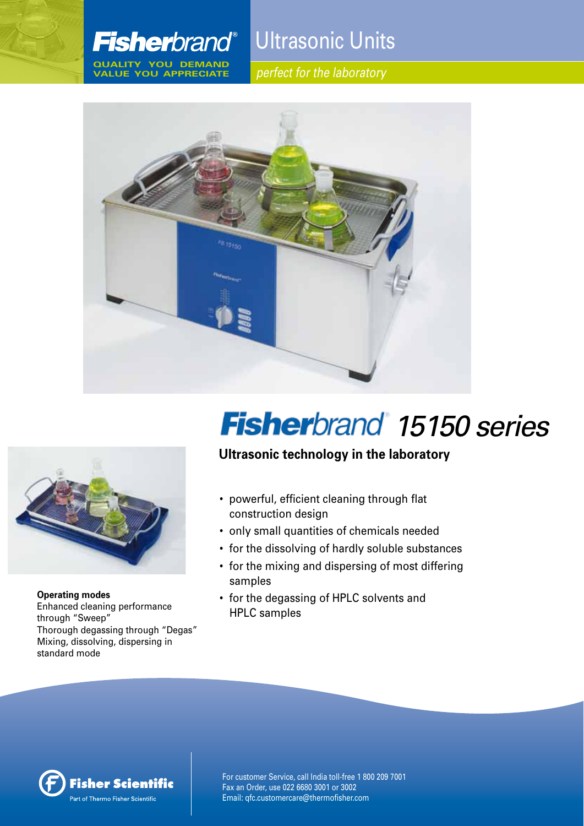

**QUALITY YOU DEMAND VALUE YOU APPRECIATE**

## Ultrasonic Units

*perfect for the laboratory*



# *15150 series*



**Operating modes**  Enhanced cleaning performance through "Sweep" Thorough degassing through "Degas" Mixing, dissolving, dispersing in standard mode

### **Ultrasonic technology in the laboratory**

- powerful, efficient cleaning through flat construction design
- only small quantities of chemicals needed
- for the dissolving of hardly soluble substances
- for the mixing and dispersing of most differing samples
- for the degassing of HPLC solvents and HPLC samples



For customer Service, call India toll-free 1 800 209 7001 Fax an Order, use 022 6680 3001 or 3002 Email: qfc.customercare@thermofisher.com